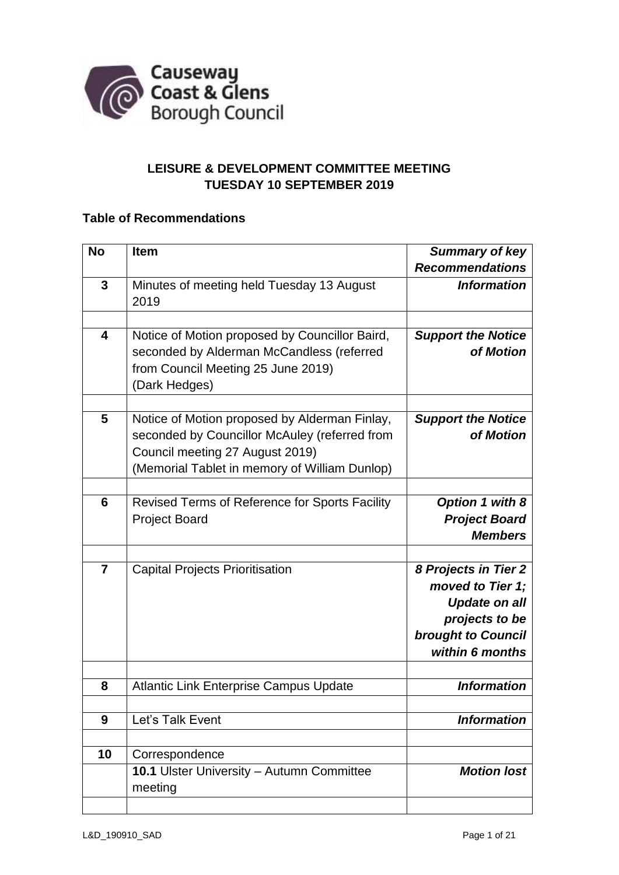

# **LEISURE & DEVELOPMENT COMMITTEE MEETING TUESDAY 10 SEPTEMBER 2019**

## **Table of Recommendations**

| <b>No</b>      | <b>Item</b>                                    | <b>Summary of key</b>                  |
|----------------|------------------------------------------------|----------------------------------------|
|                |                                                | <b>Recommendations</b>                 |
| 3              | Minutes of meeting held Tuesday 13 August      | <b>Information</b>                     |
|                | 2019                                           |                                        |
|                |                                                |                                        |
| 4              | Notice of Motion proposed by Councillor Baird, | <b>Support the Notice</b>              |
|                | seconded by Alderman McCandless (referred      | of Motion                              |
|                | from Council Meeting 25 June 2019)             |                                        |
|                | (Dark Hedges)                                  |                                        |
|                |                                                |                                        |
| 5              | Notice of Motion proposed by Alderman Finlay,  | <b>Support the Notice</b>              |
|                | seconded by Councillor McAuley (referred from  | of Motion                              |
|                | Council meeting 27 August 2019)                |                                        |
|                | (Memorial Tablet in memory of William Dunlop)  |                                        |
|                |                                                |                                        |
| 6              | Revised Terms of Reference for Sports Facility | Option 1 with 8                        |
|                | <b>Project Board</b>                           | <b>Project Board</b>                   |
|                |                                                | <b>Members</b>                         |
| $\overline{7}$ |                                                |                                        |
|                | <b>Capital Projects Prioritisation</b>         | 8 Projects in Tier 2                   |
|                |                                                | moved to Tier 1;                       |
|                |                                                | <b>Update on all</b><br>projects to be |
|                |                                                | <b>brought to Council</b>              |
|                |                                                | within 6 months                        |
|                |                                                |                                        |
| 8              | <b>Atlantic Link Enterprise Campus Update</b>  | <b>Information</b>                     |
|                |                                                |                                        |
| 9              | Let's Talk Event                               | <b>Information</b>                     |
|                |                                                |                                        |
| 10             | Correspondence                                 |                                        |
|                | 10.1 Ulster University - Autumn Committee      | <b>Motion lost</b>                     |
|                | meeting                                        |                                        |
|                |                                                |                                        |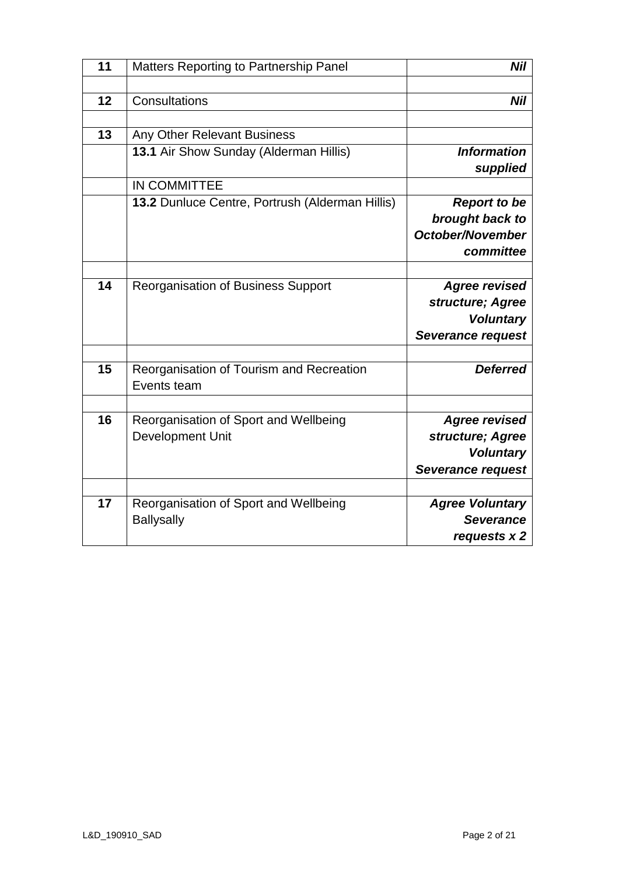| 11 | Matters Reporting to Partnership Panel                     | Nil                                                                               |
|----|------------------------------------------------------------|-----------------------------------------------------------------------------------|
|    |                                                            |                                                                                   |
| 12 | Consultations                                              | Nil                                                                               |
|    |                                                            |                                                                                   |
| 13 | Any Other Relevant Business                                |                                                                                   |
|    | 13.1 Air Show Sunday (Alderman Hillis)                     | <b>Information</b><br>supplied                                                    |
|    | IN COMMITTEE                                               |                                                                                   |
|    | 13.2 Dunluce Centre, Portrush (Alderman Hillis)            | <b>Report to be</b><br>brought back to<br><b>October/November</b><br>committee    |
|    |                                                            |                                                                                   |
| 14 | <b>Reorganisation of Business Support</b>                  | <b>Agree revised</b><br>structure; Agree<br><b>Voluntary</b><br>Severance request |
|    |                                                            |                                                                                   |
| 15 | Reorganisation of Tourism and Recreation<br>Events team    | <b>Deferred</b>                                                                   |
|    |                                                            |                                                                                   |
| 16 | Reorganisation of Sport and Wellbeing<br>Development Unit  | <b>Agree revised</b><br>structure; Agree<br><b>Voluntary</b><br>Severance request |
|    |                                                            |                                                                                   |
| 17 | Reorganisation of Sport and Wellbeing<br><b>Ballysally</b> | <b>Agree Voluntary</b><br><b>Severance</b><br>requests x 2                        |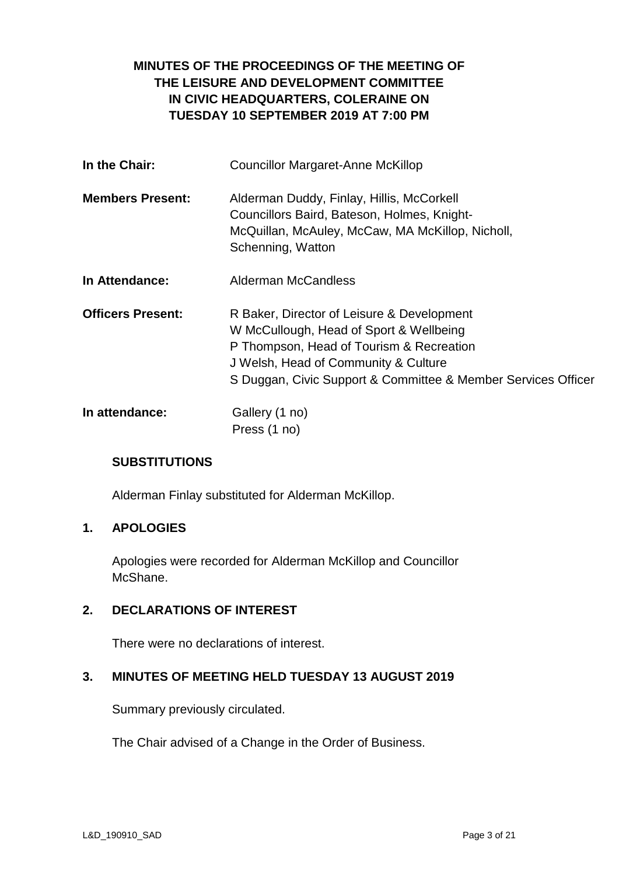# **MINUTES OF THE PROCEEDINGS OF THE MEETING OF THE LEISURE AND DEVELOPMENT COMMITTEE IN CIVIC HEADQUARTERS, COLERAINE ON TUESDAY 10 SEPTEMBER 2019 AT 7:00 PM**

| In the Chair:            | <b>Councillor Margaret-Anne McKillop</b>                                                                                                                                                                                                   |  |  |
|--------------------------|--------------------------------------------------------------------------------------------------------------------------------------------------------------------------------------------------------------------------------------------|--|--|
| <b>Members Present:</b>  | Alderman Duddy, Finlay, Hillis, McCorkell<br>Councillors Baird, Bateson, Holmes, Knight-<br>McQuillan, McAuley, McCaw, MA McKillop, Nicholl,<br>Schenning, Watton                                                                          |  |  |
| In Attendance:           | <b>Alderman McCandless</b>                                                                                                                                                                                                                 |  |  |
| <b>Officers Present:</b> | R Baker, Director of Leisure & Development<br>W McCullough, Head of Sport & Wellbeing<br>P Thompson, Head of Tourism & Recreation<br>J Welsh, Head of Community & Culture<br>S Duggan, Civic Support & Committee & Member Services Officer |  |  |
| In attendance:           | Gallery (1 no)<br>Press (1 no)                                                                                                                                                                                                             |  |  |

## **SUBSTITUTIONS**

Alderman Finlay substituted for Alderman McKillop.

### **1. APOLOGIES**

Apologies were recorded for Alderman McKillop and Councillor McShane.

### **2. DECLARATIONS OF INTEREST**

There were no declarations of interest.

### **3. MINUTES OF MEETING HELD TUESDAY 13 AUGUST 2019**

Summary previously circulated.

The Chair advised of a Change in the Order of Business.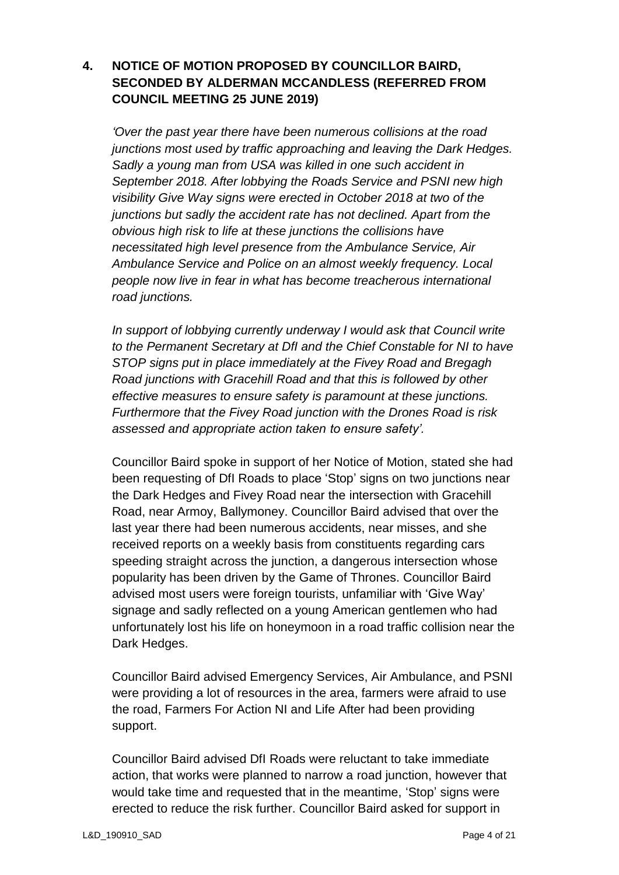# **4. NOTICE OF MOTION PROPOSED BY COUNCILLOR BAIRD, SECONDED BY ALDERMAN MCCANDLESS (REFERRED FROM COUNCIL MEETING 25 JUNE 2019)**

*'Over the past year there have been numerous collisions at the road junctions most used by traffic approaching and leaving the Dark Hedges. Sadly a young man from USA was killed in one such accident in September 2018. After lobbying the Roads Service and PSNI new high visibility Give Way signs were erected in October 2018 at two of the junctions but sadly the accident rate has not declined. Apart from the obvious high risk to life at these junctions the collisions have necessitated high level presence from the Ambulance Service, Air Ambulance Service and Police on an almost weekly frequency. Local people now live in fear in what has become treacherous international road junctions.* 

*In support of lobbying currently underway I would ask that Council write to the Permanent Secretary at DfI and the Chief Constable for NI to have STOP signs put in place immediately at the Fivey Road and Bregagh Road junctions with Gracehill Road and that this is followed by other effective measures to ensure safety is paramount at these junctions. Furthermore that the Fivey Road junction with the Drones Road is risk assessed and appropriate action taken to ensure safety'.*

Councillor Baird spoke in support of her Notice of Motion, stated she had been requesting of DfI Roads to place 'Stop' signs on two junctions near the Dark Hedges and Fivey Road near the intersection with Gracehill Road, near Armoy, Ballymoney. Councillor Baird advised that over the last year there had been numerous accidents, near misses, and she received reports on a weekly basis from constituents regarding cars speeding straight across the junction, a dangerous intersection whose popularity has been driven by the Game of Thrones. Councillor Baird advised most users were foreign tourists, unfamiliar with 'Give Way' signage and sadly reflected on a young American gentlemen who had unfortunately lost his life on honeymoon in a road traffic collision near the Dark Hedges.

Councillor Baird advised Emergency Services, Air Ambulance, and PSNI were providing a lot of resources in the area, farmers were afraid to use the road, Farmers For Action NI and Life After had been providing support.

Councillor Baird advised DfI Roads were reluctant to take immediate action, that works were planned to narrow a road junction, however that would take time and requested that in the meantime, 'Stop' signs were erected to reduce the risk further. Councillor Baird asked for support in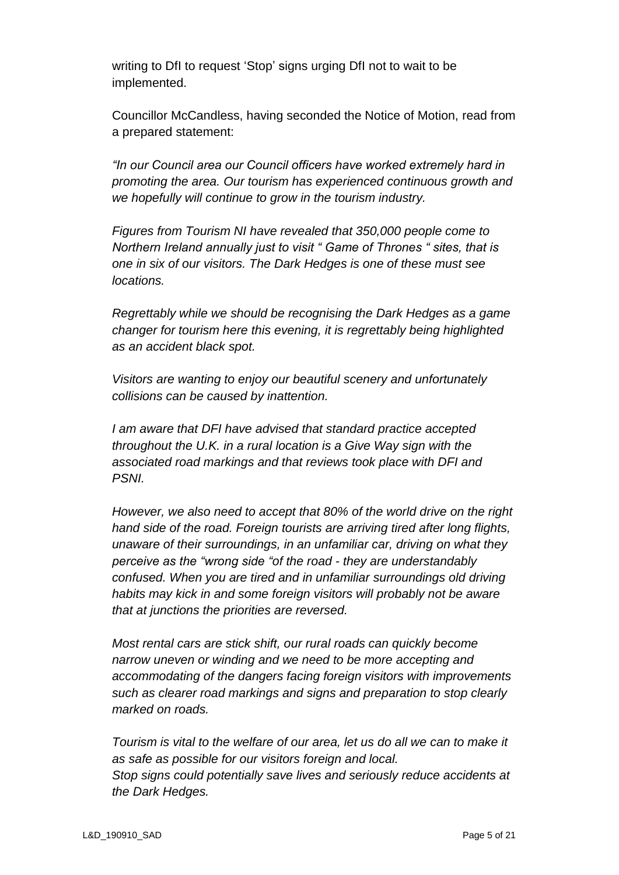writing to DfI to request 'Stop' signs urging DfI not to wait to be implemented.

Councillor McCandless, having seconded the Notice of Motion, read from a prepared statement:

*"In our Council area our Council officers have worked extremely hard in promoting the area. Our tourism has experienced continuous growth and we hopefully will continue to grow in the tourism industry.*

*Figures from Tourism NI have revealed that 350,000 people come to Northern Ireland annually just to visit " Game of Thrones " sites, that is one in six of our visitors. The Dark Hedges is one of these must see locations.*

*Regrettably while we should be recognising the Dark Hedges as a game changer for tourism here this evening, it is regrettably being highlighted as an accident black spot.*

*Visitors are wanting to enjoy our beautiful scenery and unfortunately collisions can be caused by inattention.*

*I am aware that DFI have advised that standard practice accepted throughout the U.K. in a rural location is a Give Way sign with the associated road markings and that reviews took place with DFI and PSNI.*

*However, we also need to accept that 80% of the world drive on the right hand side of the road. Foreign tourists are arriving tired after long flights, unaware of their surroundings, in an unfamiliar car, driving on what they perceive as the "wrong side "of the road - they are understandably confused. When you are tired and in unfamiliar surroundings old driving habits may kick in and some foreign visitors will probably not be aware that at junctions the priorities are reversed.*

*Most rental cars are stick shift, our rural roads can quickly become narrow uneven or winding and we need to be more accepting and accommodating of the dangers facing foreign visitors with improvements such as clearer road markings and signs and preparation to stop clearly marked on roads.*

*Tourism is vital to the welfare of our area, let us do all we can to make it as safe as possible for our visitors foreign and local. Stop signs could potentially save lives and seriously reduce accidents at the Dark Hedges.*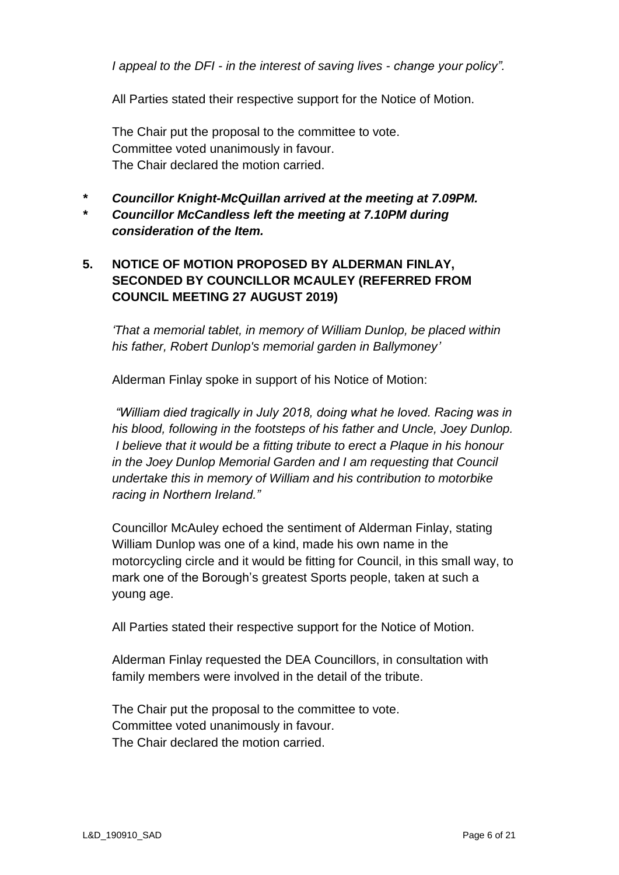*I appeal to the DFI - in the interest of saving lives - change your policy".*

All Parties stated their respective support for the Notice of Motion.

The Chair put the proposal to the committee to vote. Committee voted unanimously in favour. The Chair declared the motion carried.

*\* Councillor Knight-McQuillan arrived at the meeting at 7.09PM. \* Councillor McCandless left the meeting at 7.10PM during consideration of the Item.* 

# **5. NOTICE OF MOTION PROPOSED BY ALDERMAN FINLAY, SECONDED BY COUNCILLOR MCAULEY (REFERRED FROM COUNCIL MEETING 27 AUGUST 2019)**

*'That a memorial tablet, in memory of William Dunlop, be placed within his father, Robert Dunlop's memorial garden in Ballymoney'*

Alderman Finlay spoke in support of his Notice of Motion:

*"William died tragically in July 2018, doing what he loved. Racing was in his blood, following in the footsteps of his father and Uncle, Joey Dunlop. I believe that it would be a fitting tribute to erect a Plaque in his honour in the Joey Dunlop Memorial Garden and I am requesting that Council undertake this in memory of William and his contribution to motorbike racing in Northern Ireland."* 

Councillor McAuley echoed the sentiment of Alderman Finlay, stating William Dunlop was one of a kind, made his own name in the motorcycling circle and it would be fitting for Council, in this small way, to mark one of the Borough's greatest Sports people, taken at such a young age.

All Parties stated their respective support for the Notice of Motion.

Alderman Finlay requested the DEA Councillors, in consultation with family members were involved in the detail of the tribute.

The Chair put the proposal to the committee to vote. Committee voted unanimously in favour. The Chair declared the motion carried.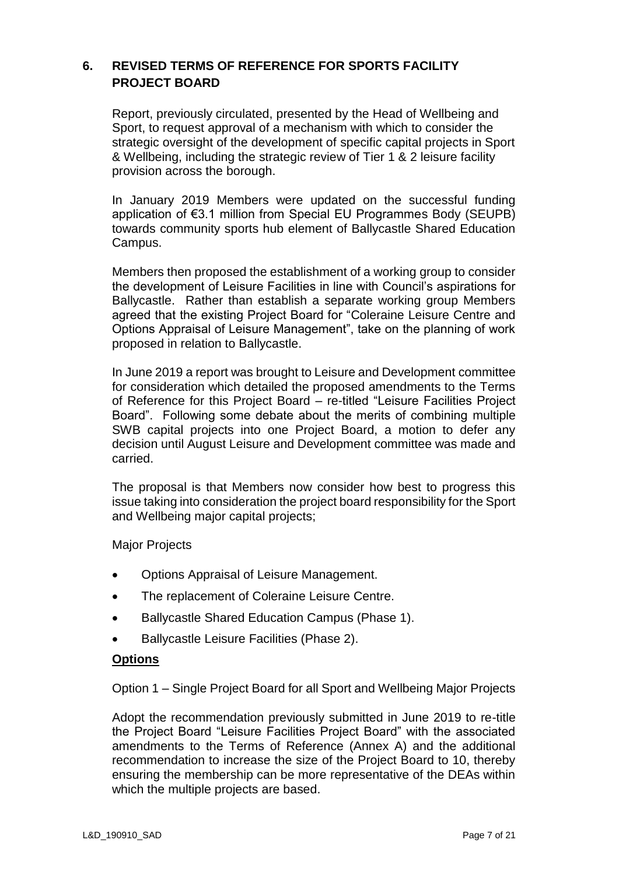# **6. REVISED TERMS OF REFERENCE FOR SPORTS FACILITY PROJECT BOARD**

Report, previously circulated, presented by the Head of Wellbeing and Sport, to request approval of a mechanism with which to consider the strategic oversight of the development of specific capital projects in Sport & Wellbeing, including the strategic review of Tier 1 & 2 leisure facility provision across the borough.

In January 2019 Members were updated on the successful funding application of €3.1 million from Special EU Programmes Body (SEUPB) towards community sports hub element of Ballycastle Shared Education Campus.

Members then proposed the establishment of a working group to consider the development of Leisure Facilities in line with Council's aspirations for Ballycastle. Rather than establish a separate working group Members agreed that the existing Project Board for "Coleraine Leisure Centre and Options Appraisal of Leisure Management", take on the planning of work proposed in relation to Ballycastle.

In June 2019 a report was brought to Leisure and Development committee for consideration which detailed the proposed amendments to the Terms of Reference for this Project Board – re-titled "Leisure Facilities Project Board". Following some debate about the merits of combining multiple SWB capital projects into one Project Board, a motion to defer any decision until August Leisure and Development committee was made and carried.

The proposal is that Members now consider how best to progress this issue taking into consideration the project board responsibility for the Sport and Wellbeing major capital projects;

Major Projects

- Options Appraisal of Leisure Management.
- The replacement of Coleraine Leisure Centre.
- Ballycastle Shared Education Campus (Phase 1).
- Ballycastle Leisure Facilities (Phase 2).

#### **Options**

Option 1 – Single Project Board for all Sport and Wellbeing Major Projects

Adopt the recommendation previously submitted in June 2019 to re-title the Project Board "Leisure Facilities Project Board" with the associated amendments to the Terms of Reference (Annex A) and the additional recommendation to increase the size of the Project Board to 10, thereby ensuring the membership can be more representative of the DEAs within which the multiple projects are based.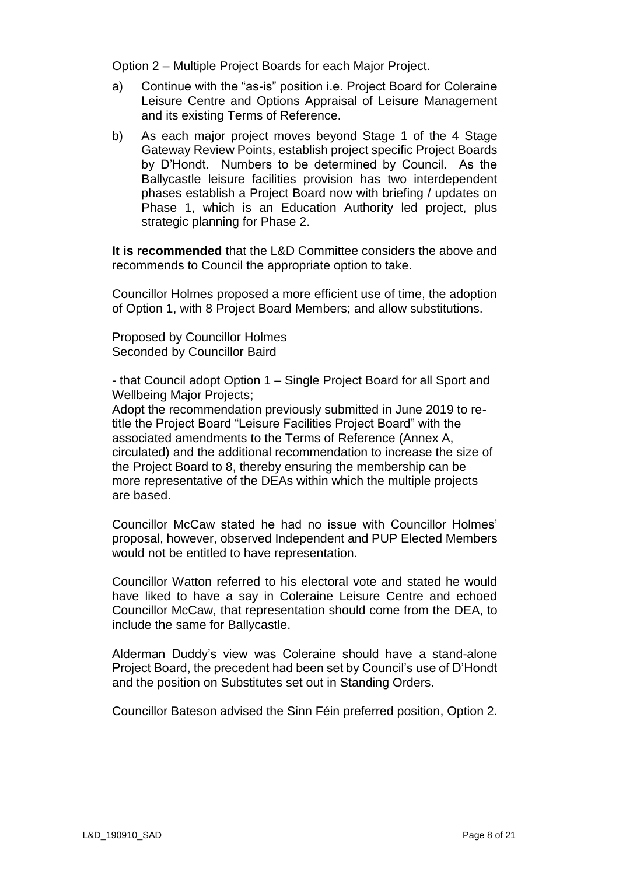Option 2 – Multiple Project Boards for each Major Project.

- a) Continue with the "as-is" position i.e. Project Board for Coleraine Leisure Centre and Options Appraisal of Leisure Management and its existing Terms of Reference.
- b) As each major project moves beyond Stage 1 of the 4 Stage Gateway Review Points, establish project specific Project Boards by D'Hondt. Numbers to be determined by Council. As the Ballycastle leisure facilities provision has two interdependent phases establish a Project Board now with briefing / updates on Phase 1, which is an Education Authority led project, plus strategic planning for Phase 2.

**It is recommended** that the L&D Committee considers the above and recommends to Council the appropriate option to take.

Councillor Holmes proposed a more efficient use of time, the adoption of Option 1, with 8 Project Board Members; and allow substitutions.

Proposed by Councillor Holmes Seconded by Councillor Baird

- that Council adopt Option 1 – Single Project Board for all Sport and Wellbeing Major Projects;

Adopt the recommendation previously submitted in June 2019 to retitle the Project Board "Leisure Facilities Project Board" with the associated amendments to the Terms of Reference (Annex A, circulated) and the additional recommendation to increase the size of the Project Board to 8, thereby ensuring the membership can be more representative of the DEAs within which the multiple projects are based.

Councillor McCaw stated he had no issue with Councillor Holmes' proposal, however, observed Independent and PUP Elected Members would not be entitled to have representation.

Councillor Watton referred to his electoral vote and stated he would have liked to have a say in Coleraine Leisure Centre and echoed Councillor McCaw, that representation should come from the DEA, to include the same for Ballycastle.

Alderman Duddy's view was Coleraine should have a stand-alone Project Board, the precedent had been set by Council's use of D'Hondt and the position on Substitutes set out in Standing Orders.

Councillor Bateson advised the Sinn Féin preferred position, Option 2.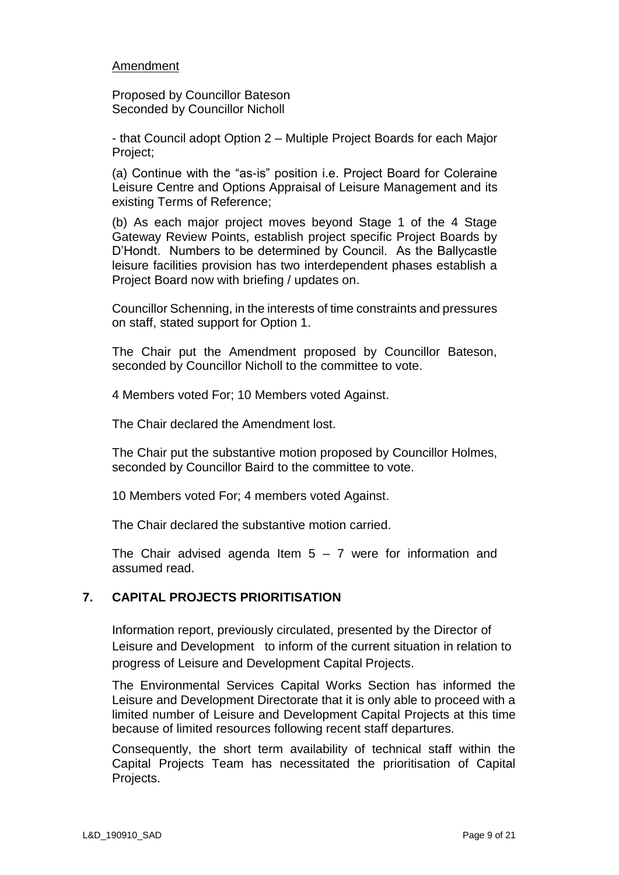#### Amendment

Proposed by Councillor Bateson Seconded by Councillor Nicholl

- that Council adopt Option 2 – Multiple Project Boards for each Major Project;

(a) Continue with the "as-is" position i.e. Project Board for Coleraine Leisure Centre and Options Appraisal of Leisure Management and its existing Terms of Reference;

(b) As each major project moves beyond Stage 1 of the 4 Stage Gateway Review Points, establish project specific Project Boards by D'Hondt. Numbers to be determined by Council. As the Ballycastle leisure facilities provision has two interdependent phases establish a Project Board now with briefing / updates on.

Councillor Schenning, in the interests of time constraints and pressures on staff, stated support for Option 1.

The Chair put the Amendment proposed by Councillor Bateson, seconded by Councillor Nicholl to the committee to vote.

4 Members voted For; 10 Members voted Against.

The Chair declared the Amendment lost.

The Chair put the substantive motion proposed by Councillor Holmes, seconded by Councillor Baird to the committee to vote.

10 Members voted For; 4 members voted Against.

The Chair declared the substantive motion carried.

The Chair advised agenda Item  $5 - 7$  were for information and assumed read.

### **7. CAPITAL PROJECTS PRIORITISATION**

Information report, previously circulated, presented by the Director of Leisure and Development to inform of the current situation in relation to progress of Leisure and Development Capital Projects.

The Environmental Services Capital Works Section has informed the Leisure and Development Directorate that it is only able to proceed with a limited number of Leisure and Development Capital Projects at this time because of limited resources following recent staff departures.

Consequently, the short term availability of technical staff within the Capital Projects Team has necessitated the prioritisation of Capital Projects.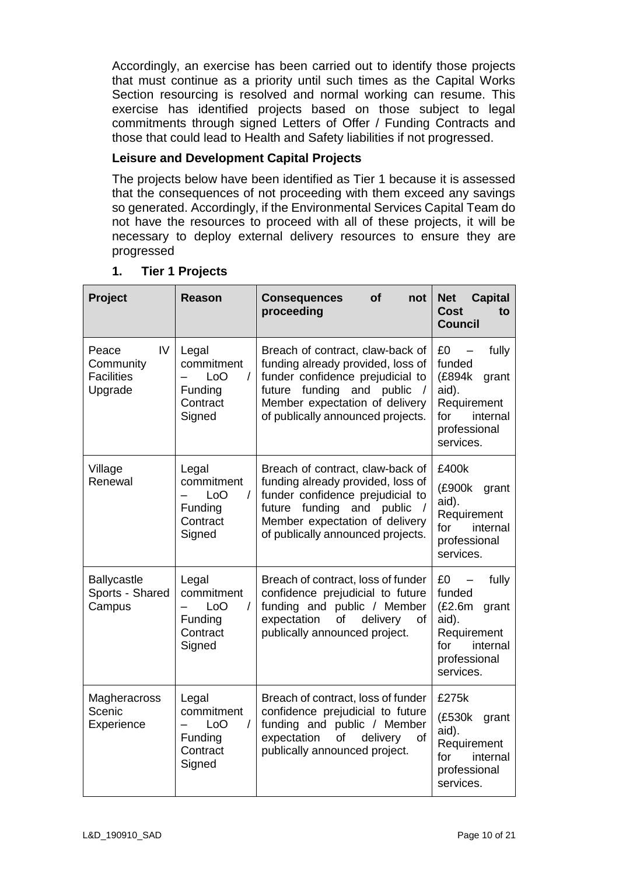Accordingly, an exercise has been carried out to identify those projects that must continue as a priority until such times as the Capital Works Section resourcing is resolved and normal working can resume. This exercise has identified projects based on those subject to legal commitments through signed Letters of Offer / Funding Contracts and those that could lead to Health and Safety liabilities if not progressed.

### **Leisure and Development Capital Projects**

The projects below have been identified as Tier 1 because it is assessed that the consequences of not proceeding with them exceed any savings so generated. Accordingly, if the Environmental Services Capital Team do not have the resources to proceed with all of these projects, it will be necessary to deploy external delivery resources to ensure they are progressed

| Project                                                  | Reason                                                                  | <b>of</b><br><b>Consequences</b><br>not<br>proceeding                                                                                                                                                         | <b>Net</b><br><b>Capital</b><br><b>Cost</b><br>to<br><b>Council</b>                                                                           |
|----------------------------------------------------------|-------------------------------------------------------------------------|---------------------------------------------------------------------------------------------------------------------------------------------------------------------------------------------------------------|-----------------------------------------------------------------------------------------------------------------------------------------------|
| IV<br>Peace<br>Community<br><b>Facilities</b><br>Upgrade | Legal<br>commitment<br>LoO<br>$\prime$<br>Funding<br>Contract<br>Signed | Breach of contract, claw-back of<br>funding already provided, loss of<br>funder confidence prejudicial to<br>future funding and public<br>Member expectation of delivery<br>of publically announced projects. | £0<br>fully<br>funded<br>(£894k<br>grant<br>aid).<br>Requirement<br>for<br>internal<br>professional<br>services.                              |
| Village<br>Renewal                                       | Legal<br>commitment<br>LoO<br>$\prime$<br>Funding<br>Contract<br>Signed | Breach of contract, claw-back of<br>funding already provided, loss of<br>funder confidence prejudicial to<br>future funding and public<br>Member expectation of delivery<br>of publically announced projects. | £400k<br>(£900k<br>grant<br>aid).<br>Requirement<br>for<br>internal<br>professional<br>services.                                              |
| <b>Ballycastle</b><br>Sports - Shared<br>Campus          | Legal<br>commitment<br>LoO<br>$\prime$<br>Funding<br>Contract<br>Signed | Breach of contract, loss of funder<br>confidence prejudicial to future<br>funding and public / Member<br>expectation<br>of<br>delivery<br>οf<br>publically announced project.                                 | £0<br>fully<br>$\overline{\phantom{m}}$<br>funded<br>(E2.6m)<br>grant<br>aid).<br>Requirement<br>for<br>internal<br>professional<br>services. |
| Magheracross<br>Scenic<br>Experience                     | Legal<br>commitment<br>LoO<br>$\prime$<br>Funding<br>Contract<br>Signed | Breach of contract, loss of funder<br>confidence prejudicial to future<br>funding and public / Member<br>expectation<br>delivery<br>of<br><b>of</b><br>publically announced project.                          | £275k<br>(£530k<br>grant<br>aid).<br>Requirement<br>for<br>internal<br>professional<br>services.                                              |

### **1. Tier 1 Projects**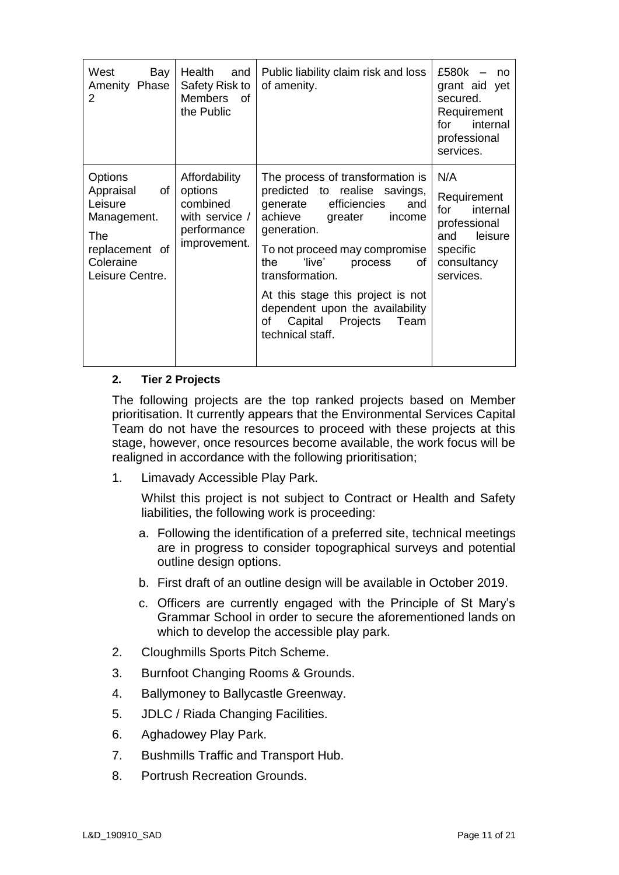| West<br>Bay<br>Amenity Phase<br>2                                                                                    | Health<br>and<br>Safety Risk to<br><b>Members</b><br>0f<br>the Public                 | Public liability claim risk and loss<br>of amenity.                                                                                                                                                                                                                                                                                                                     | £580k<br>no<br>grant aid yet<br>secured.<br>Requirement<br>internal<br>for<br>professional<br>services.         |
|----------------------------------------------------------------------------------------------------------------------|---------------------------------------------------------------------------------------|-------------------------------------------------------------------------------------------------------------------------------------------------------------------------------------------------------------------------------------------------------------------------------------------------------------------------------------------------------------------------|-----------------------------------------------------------------------------------------------------------------|
| <b>Options</b><br>Appraisal<br>of<br>Leisure<br>Management.<br>The<br>replacement of<br>Coleraine<br>Leisure Centre. | Affordability<br>options<br>combined<br>with service /<br>performance<br>improvement. | The process of transformation is<br>predicted to realise savings,<br>efficiencies<br>generate<br>and<br>achieve<br>greater<br>income<br>generation.<br>To not proceed may compromise<br>'live'<br>the<br>process<br>οf<br>transformation.<br>At this stage this project is not<br>dependent upon the availability<br>Capital Projects<br>of<br>Team<br>technical staff. | N/A<br>Requirement<br>for<br>internal<br>professional<br>leisure<br>and<br>specific<br>consultancy<br>services. |

#### **2. Tier 2 Projects**

The following projects are the top ranked projects based on Member prioritisation. It currently appears that the Environmental Services Capital Team do not have the resources to proceed with these projects at this stage, however, once resources become available, the work focus will be realigned in accordance with the following prioritisation;

1. Limavady Accessible Play Park.

Whilst this project is not subject to Contract or Health and Safety liabilities, the following work is proceeding:

- a. Following the identification of a preferred site, technical meetings are in progress to consider topographical surveys and potential outline design options.
- b. First draft of an outline design will be available in October 2019.
- c. Officers are currently engaged with the Principle of St Mary's Grammar School in order to secure the aforementioned lands on which to develop the accessible play park.
- 2. Cloughmills Sports Pitch Scheme.
- 3. Burnfoot Changing Rooms & Grounds.
- 4. Ballymoney to Ballycastle Greenway.
- 5. JDLC / Riada Changing Facilities.
- 6. Aghadowey Play Park.
- 7. Bushmills Traffic and Transport Hub.
- 8. Portrush Recreation Grounds.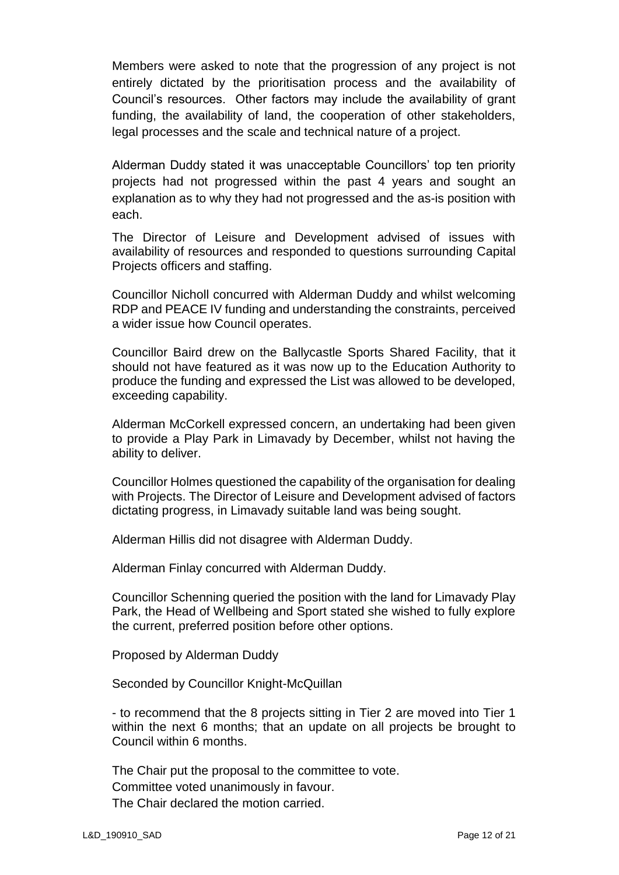Members were asked to note that the progression of any project is not entirely dictated by the prioritisation process and the availability of Council's resources. Other factors may include the availability of grant funding, the availability of land, the cooperation of other stakeholders, legal processes and the scale and technical nature of a project.

Alderman Duddy stated it was unacceptable Councillors' top ten priority projects had not progressed within the past 4 years and sought an explanation as to why they had not progressed and the as-is position with each.

The Director of Leisure and Development advised of issues with availability of resources and responded to questions surrounding Capital Projects officers and staffing.

Councillor Nicholl concurred with Alderman Duddy and whilst welcoming RDP and PEACE IV funding and understanding the constraints, perceived a wider issue how Council operates.

Councillor Baird drew on the Ballycastle Sports Shared Facility, that it should not have featured as it was now up to the Education Authority to produce the funding and expressed the List was allowed to be developed, exceeding capability.

Alderman McCorkell expressed concern, an undertaking had been given to provide a Play Park in Limavady by December, whilst not having the ability to deliver.

Councillor Holmes questioned the capability of the organisation for dealing with Projects. The Director of Leisure and Development advised of factors dictating progress, in Limavady suitable land was being sought.

Alderman Hillis did not disagree with Alderman Duddy.

Alderman Finlay concurred with Alderman Duddy.

Councillor Schenning queried the position with the land for Limavady Play Park, the Head of Wellbeing and Sport stated she wished to fully explore the current, preferred position before other options.

Proposed by Alderman Duddy

Seconded by Councillor Knight-McQuillan

- to recommend that the 8 projects sitting in Tier 2 are moved into Tier 1 within the next 6 months; that an update on all projects be brought to Council within 6 months.

The Chair put the proposal to the committee to vote. Committee voted unanimously in favour. The Chair declared the motion carried.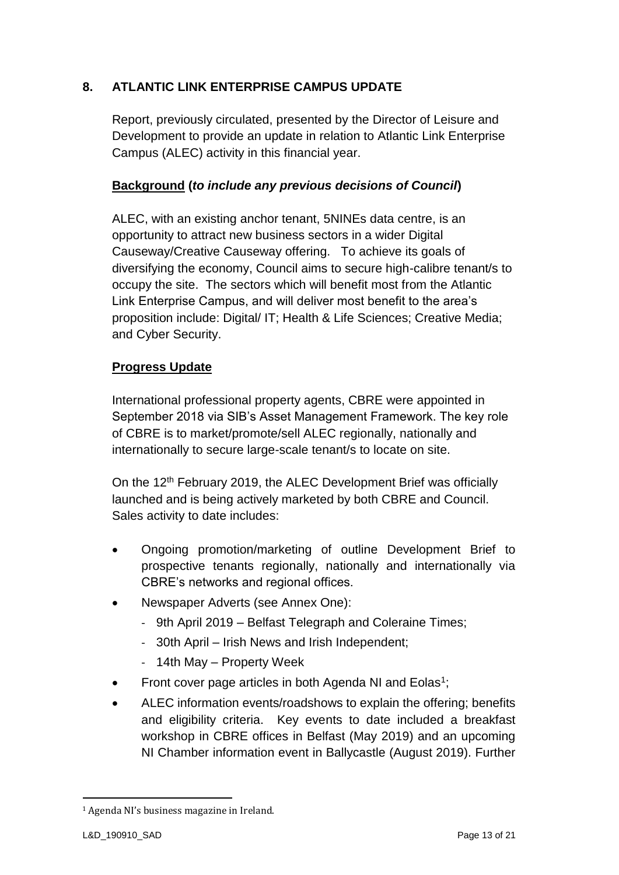# **8. ATLANTIC LINK ENTERPRISE CAMPUS UPDATE**

Report, previously circulated, presented by the Director of Leisure and Development to provide an update in relation to Atlantic Link Enterprise Campus (ALEC) activity in this financial year.

## **Background (***to include any previous decisions of Council***)**

ALEC, with an existing anchor tenant, 5NINEs data centre, is an opportunity to attract new business sectors in a wider Digital Causeway/Creative Causeway offering. To achieve its goals of diversifying the economy, Council aims to secure high-calibre tenant/s to occupy the site. The sectors which will benefit most from the Atlantic Link Enterprise Campus, and will deliver most benefit to the area's proposition include: Digital/ IT; Health & Life Sciences; Creative Media; and Cyber Security.

## **Progress Update**

International professional property agents, CBRE were appointed in September 2018 via SIB's Asset Management Framework. The key role of CBRE is to market/promote/sell ALEC regionally, nationally and internationally to secure large-scale tenant/s to locate on site.

On the 12<sup>th</sup> February 2019, the ALEC Development Brief was officially launched and is being actively marketed by both CBRE and Council. Sales activity to date includes:

- Ongoing promotion/marketing of outline Development Brief to prospective tenants regionally, nationally and internationally via CBRE's networks and regional offices.
- Newspaper Adverts (see Annex One):
	- 9th April 2019 Belfast Telegraph and Coleraine Times;
	- 30th April Irish News and Irish Independent;
	- 14th May Property Week
- Front cover page articles in both Agenda NI and Eolas<sup>1</sup>;
- ALEC information events/roadshows to explain the offering; benefits and eligibility criteria. Key events to date included a breakfast workshop in CBRE offices in Belfast (May 2019) and an upcoming NI Chamber information event in Ballycastle (August 2019). Further

-

<sup>&</sup>lt;sup>1</sup> Agenda NI's business magazine in Ireland.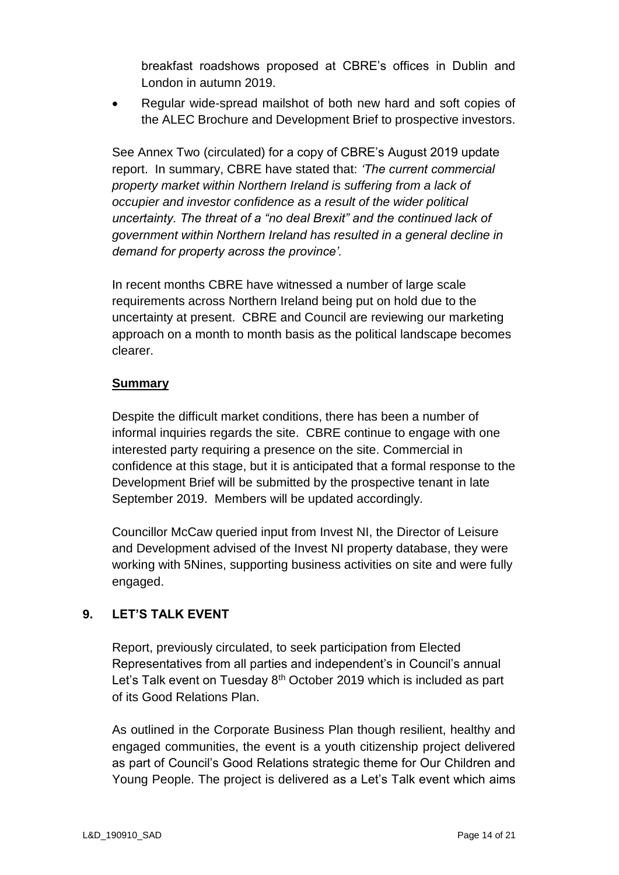breakfast roadshows proposed at CBRE's offices in Dublin and London in autumn 2019.

 Regular wide-spread mailshot of both new hard and soft copies of the ALEC Brochure and Development Brief to prospective investors.

See Annex Two (circulated) for a copy of CBRE's August 2019 update report. In summary, CBRE have stated that: *'The current commercial property market within Northern Ireland is suffering from a lack of occupier and investor confidence as a result of the wider political uncertainty. The threat of a "no deal Brexit" and the continued lack of government within Northern Ireland has resulted in a general decline in demand for property across the province'.*

In recent months CBRE have witnessed a number of large scale requirements across Northern Ireland being put on hold due to the uncertainty at present. CBRE and Council are reviewing our marketing approach on a month to month basis as the political landscape becomes clearer.

### **Summary**

Despite the difficult market conditions, there has been a number of informal inquiries regards the site. CBRE continue to engage with one interested party requiring a presence on the site. Commercial in confidence at this stage, but it is anticipated that a formal response to the Development Brief will be submitted by the prospective tenant in late September 2019. Members will be updated accordingly.

Councillor McCaw queried input from Invest NI, the Director of Leisure and Development advised of the Invest NI property database, they were working with 5Nines, supporting business activities on site and were fully engaged.

## **9. LET'S TALK EVENT**

Report, previously circulated, to seek participation from Elected Representatives from all parties and independent's in Council's annual Let's Talk event on Tuesday  $8<sup>th</sup>$  October 2019 which is included as part of its Good Relations Plan.

As outlined in the Corporate Business Plan though resilient, healthy and engaged communities, the event is a youth citizenship project delivered as part of Council's Good Relations strategic theme for Our Children and Young People. The project is delivered as a Let's Talk event which aims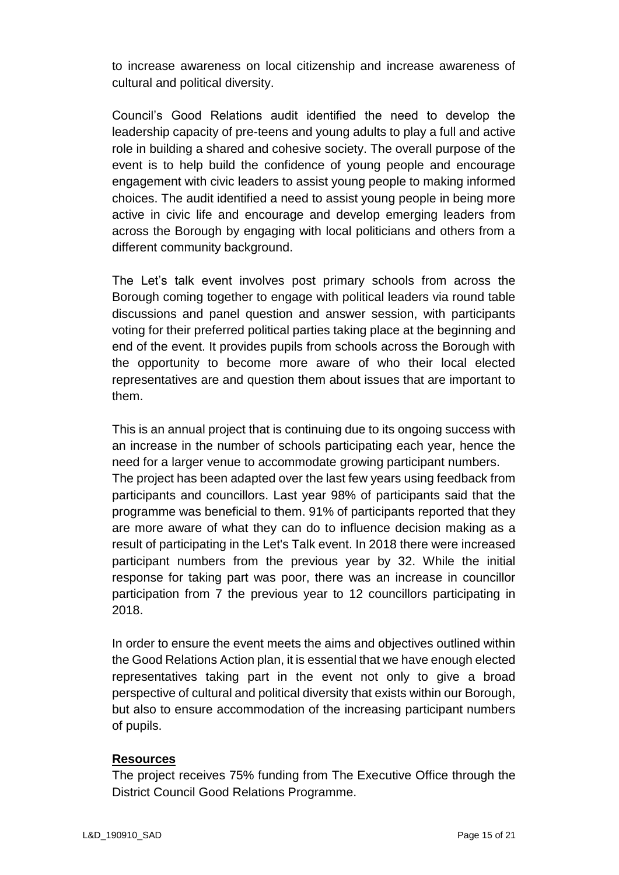to increase awareness on local citizenship and increase awareness of cultural and political diversity.

Council's Good Relations audit identified the need to develop the leadership capacity of pre-teens and young adults to play a full and active role in building a shared and cohesive society. The overall purpose of the event is to help build the confidence of young people and encourage engagement with civic leaders to assist young people to making informed choices. The audit identified a need to assist young people in being more active in civic life and encourage and develop emerging leaders from across the Borough by engaging with local politicians and others from a different community background.

The Let's talk event involves post primary schools from across the Borough coming together to engage with political leaders via round table discussions and panel question and answer session, with participants voting for their preferred political parties taking place at the beginning and end of the event. It provides pupils from schools across the Borough with the opportunity to become more aware of who their local elected representatives are and question them about issues that are important to them.

This is an annual project that is continuing due to its ongoing success with an increase in the number of schools participating each year, hence the need for a larger venue to accommodate growing participant numbers. The project has been adapted over the last few years using feedback from participants and councillors. Last year 98% of participants said that the programme was beneficial to them. 91% of participants reported that they are more aware of what they can do to influence decision making as a result of participating in the Let's Talk event. In 2018 there were increased participant numbers from the previous year by 32. While the initial response for taking part was poor, there was an increase in councillor participation from 7 the previous year to 12 councillors participating in 2018.

In order to ensure the event meets the aims and objectives outlined within the Good Relations Action plan, it is essential that we have enough elected representatives taking part in the event not only to give a broad perspective of cultural and political diversity that exists within our Borough, but also to ensure accommodation of the increasing participant numbers of pupils.

### **Resources**

The project receives 75% funding from The Executive Office through the District Council Good Relations Programme.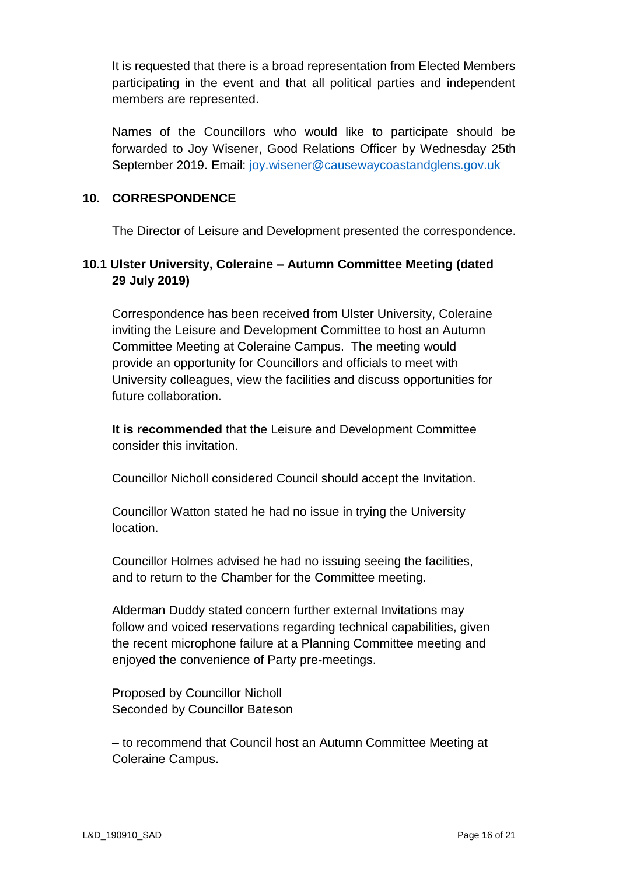It is requested that there is a broad representation from Elected Members participating in the event and that all political parties and independent members are represented.

Names of the Councillors who would like to participate should be forwarded to Joy Wisener, Good Relations Officer by Wednesday 25th September 2019. Email: [joy.wisener@causewaycoastandglens.gov.uk](mailto:joy.wisener@causewaycoastandglens.gov.uk)

### **10. CORRESPONDENCE**

The Director of Leisure and Development presented the correspondence.

# **10.1 Ulster University, Coleraine – Autumn Committee Meeting (dated 29 July 2019)**

Correspondence has been received from Ulster University, Coleraine inviting the Leisure and Development Committee to host an Autumn Committee Meeting at Coleraine Campus. The meeting would provide an opportunity for Councillors and officials to meet with University colleagues, view the facilities and discuss opportunities for future collaboration.

**It is recommended** that the Leisure and Development Committee consider this invitation.

Councillor Nicholl considered Council should accept the Invitation.

Councillor Watton stated he had no issue in trying the University location.

Councillor Holmes advised he had no issuing seeing the facilities, and to return to the Chamber for the Committee meeting.

Alderman Duddy stated concern further external Invitations may follow and voiced reservations regarding technical capabilities, given the recent microphone failure at a Planning Committee meeting and enjoyed the convenience of Party pre-meetings.

Proposed by Councillor Nicholl Seconded by Councillor Bateson

**–** to recommend that Council host an Autumn Committee Meeting at Coleraine Campus.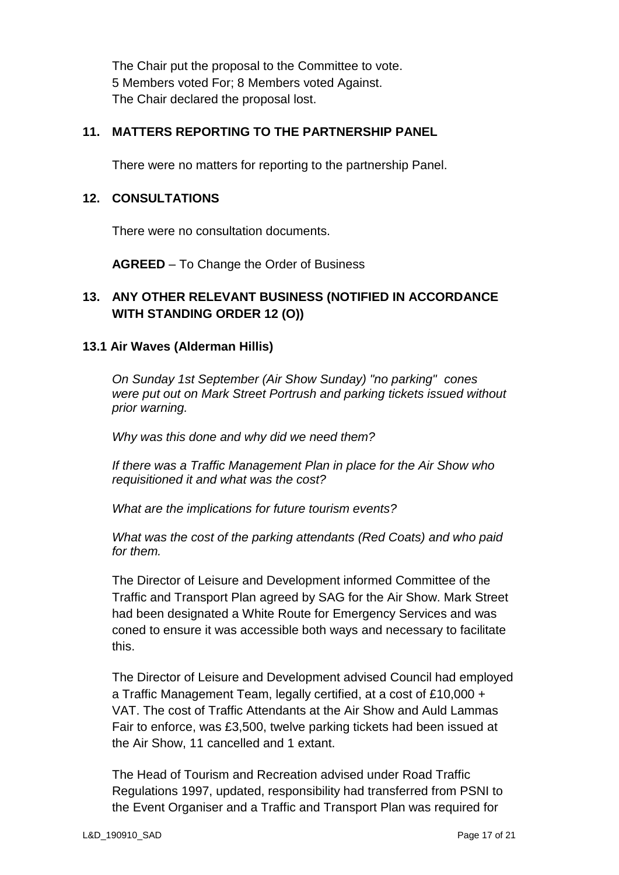The Chair put the proposal to the Committee to vote. 5 Members voted For; 8 Members voted Against. The Chair declared the proposal lost.

## **11. MATTERS REPORTING TO THE PARTNERSHIP PANEL**

There were no matters for reporting to the partnership Panel.

### **12. CONSULTATIONS**

There were no consultation documents.

**AGREED** – To Change the Order of Business

## **13. ANY OTHER RELEVANT BUSINESS (NOTIFIED IN ACCORDANCE WITH STANDING ORDER 12 (O))**

### **13.1 Air Waves (Alderman Hillis)**

*On Sunday 1st September (Air Show Sunday) "no parking" cones were put out on Mark Street Portrush and parking tickets issued without prior warning.*

*Why was this done and why did we need them?*

*If there was a Traffic Management Plan in place for the Air Show who requisitioned it and what was the cost?*

*What are the implications for future tourism events?*

*What was the cost of the parking attendants (Red Coats) and who paid for them.*

The Director of Leisure and Development informed Committee of the Traffic and Transport Plan agreed by SAG for the Air Show. Mark Street had been designated a White Route for Emergency Services and was coned to ensure it was accessible both ways and necessary to facilitate this.

The Director of Leisure and Development advised Council had employed a Traffic Management Team, legally certified, at a cost of £10,000 + VAT. The cost of Traffic Attendants at the Air Show and Auld Lammas Fair to enforce, was £3,500, twelve parking tickets had been issued at the Air Show, 11 cancelled and 1 extant.

The Head of Tourism and Recreation advised under Road Traffic Regulations 1997, updated, responsibility had transferred from PSNI to the Event Organiser and a Traffic and Transport Plan was required for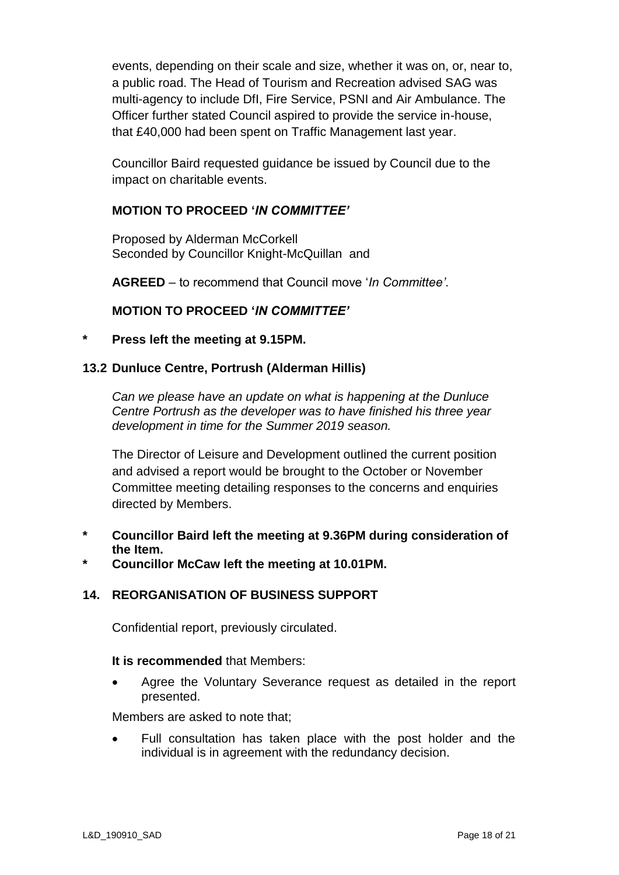events, depending on their scale and size, whether it was on, or, near to, a public road. The Head of Tourism and Recreation advised SAG was multi-agency to include DfI, Fire Service, PSNI and Air Ambulance. The Officer further stated Council aspired to provide the service in-house, that £40,000 had been spent on Traffic Management last year.

Councillor Baird requested guidance be issued by Council due to the impact on charitable events.

### **MOTION TO PROCEED '***IN COMMITTEE'*

Proposed by Alderman McCorkell Seconded by Councillor Knight-McQuillan and

**AGREED** – to recommend that Council move '*In Committee'*.

### **MOTION TO PROCEED '***IN COMMITTEE'*

#### **\* Press left the meeting at 9.15PM.**

#### **13.2 Dunluce Centre, Portrush (Alderman Hillis)**

*Can we please have an update on what is happening at the Dunluce Centre Portrush as the developer was to have finished his three year development in time for the Summer 2019 season.* 

The Director of Leisure and Development outlined the current position and advised a report would be brought to the October or November Committee meeting detailing responses to the concerns and enquiries directed by Members.

- **\* Councillor Baird left the meeting at 9.36PM during consideration of the Item.**
- **\* Councillor McCaw left the meeting at 10.01PM.**

### **14. REORGANISATION OF BUSINESS SUPPORT**

Confidential report, previously circulated.

#### **It is recommended** that Members:

 Agree the Voluntary Severance request as detailed in the report presented.

Members are asked to note that;

 Full consultation has taken place with the post holder and the individual is in agreement with the redundancy decision.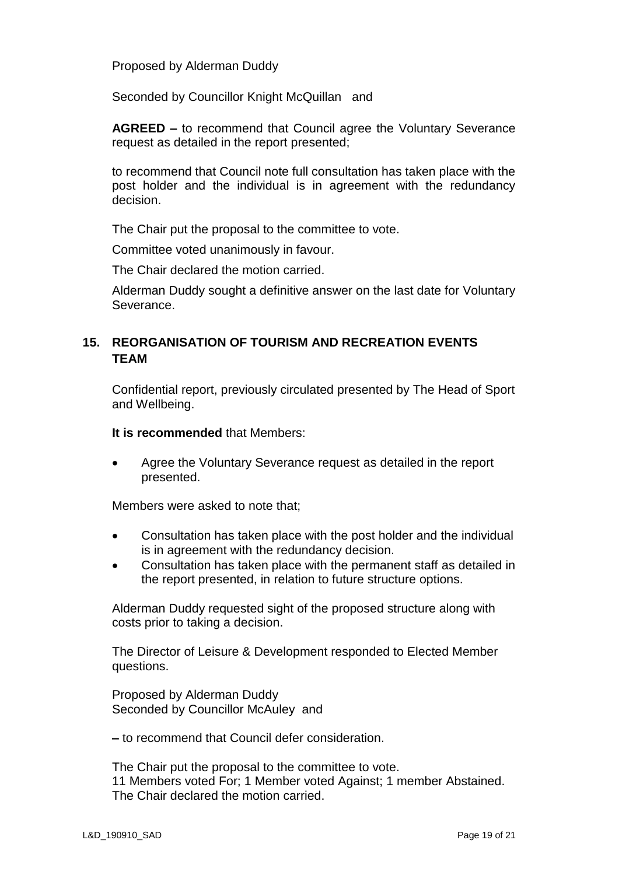Proposed by Alderman Duddy

Seconded by Councillor Knight McQuillan and

**AGREED –** to recommend that Council agree the Voluntary Severance request as detailed in the report presented;

to recommend that Council note full consultation has taken place with the post holder and the individual is in agreement with the redundancy decision.

The Chair put the proposal to the committee to vote.

Committee voted unanimously in favour.

The Chair declared the motion carried.

Alderman Duddy sought a definitive answer on the last date for Voluntary Severance.

### **15. REORGANISATION OF TOURISM AND RECREATION EVENTS TEAM**

Confidential report, previously circulated presented by The Head of Sport and Wellbeing.

**It is recommended** that Members:

 Agree the Voluntary Severance request as detailed in the report presented.

Members were asked to note that;

- Consultation has taken place with the post holder and the individual is in agreement with the redundancy decision.
- Consultation has taken place with the permanent staff as detailed in the report presented, in relation to future structure options.

Alderman Duddy requested sight of the proposed structure along with costs prior to taking a decision.

The Director of Leisure & Development responded to Elected Member questions.

Proposed by Alderman Duddy Seconded by Councillor McAuley and

**–** to recommend that Council defer consideration.

The Chair put the proposal to the committee to vote. 11 Members voted For; 1 Member voted Against; 1 member Abstained. The Chair declared the motion carried.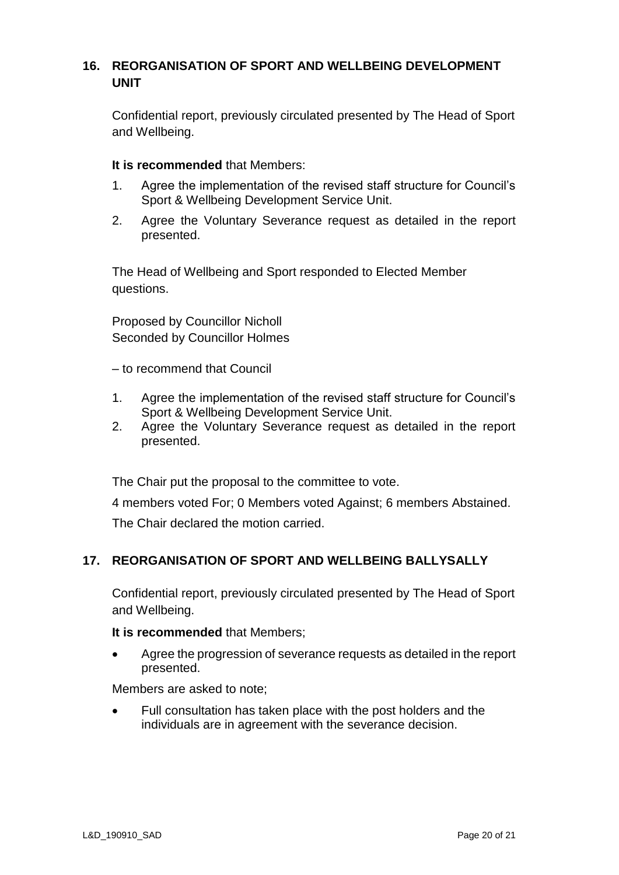# **16. REORGANISATION OF SPORT AND WELLBEING DEVELOPMENT UNIT**

Confidential report, previously circulated presented by The Head of Sport and Wellbeing.

#### **It is recommended** that Members:

- 1. Agree the implementation of the revised staff structure for Council's Sport & Wellbeing Development Service Unit.
- 2. Agree the Voluntary Severance request as detailed in the report presented.

The Head of Wellbeing and Sport responded to Elected Member questions.

Proposed by Councillor Nicholl Seconded by Councillor Holmes

– to recommend that Council

- 1. Agree the implementation of the revised staff structure for Council's Sport & Wellbeing Development Service Unit.
- 2. Agree the Voluntary Severance request as detailed in the report presented.

The Chair put the proposal to the committee to vote.

4 members voted For; 0 Members voted Against; 6 members Abstained.

The Chair declared the motion carried.

### **17. REORGANISATION OF SPORT AND WELLBEING BALLYSALLY**

Confidential report, previously circulated presented by The Head of Sport and Wellbeing.

**It is recommended** that Members;

 Agree the progression of severance requests as detailed in the report presented.

Members are asked to note;

 Full consultation has taken place with the post holders and the individuals are in agreement with the severance decision.